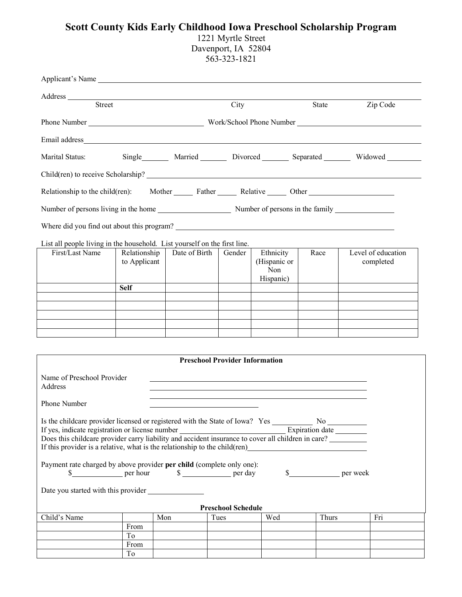## **Scott County Kids Early Childhood Iowa Preschool Scholarship Program**

1221 Myrtle Street Davenport, IA 52804 563-323-1821

| Applicant's Name                                                                                                                                                                                                                     |                                           |                                       |                           |                                               |             |                                                                                                                                                                                                                                |  |  |  |  |  |
|--------------------------------------------------------------------------------------------------------------------------------------------------------------------------------------------------------------------------------------|-------------------------------------------|---------------------------------------|---------------------------|-----------------------------------------------|-------------|--------------------------------------------------------------------------------------------------------------------------------------------------------------------------------------------------------------------------------|--|--|--|--|--|
|                                                                                                                                                                                                                                      |                                           |                                       |                           |                                               |             |                                                                                                                                                                                                                                |  |  |  |  |  |
| <b>Street</b>                                                                                                                                                                                                                        |                                           |                                       | City                      |                                               | State       | Zip Code                                                                                                                                                                                                                       |  |  |  |  |  |
|                                                                                                                                                                                                                                      |                                           |                                       |                           |                                               |             | Phone Number Number Number Number Number Number Number Number Number Number Number Number Number Number Number Number Number Number Number Number Number Number Number Number Number Number Number Number Number Number Number |  |  |  |  |  |
|                                                                                                                                                                                                                                      |                                           |                                       |                           |                                               |             |                                                                                                                                                                                                                                |  |  |  |  |  |
| Marital Status:                                                                                                                                                                                                                      | Single Married Divorced Separated Widowed |                                       |                           |                                               |             |                                                                                                                                                                                                                                |  |  |  |  |  |
|                                                                                                                                                                                                                                      |                                           |                                       |                           |                                               |             |                                                                                                                                                                                                                                |  |  |  |  |  |
| Relationship to the child(ren): Mother _________ Father _________ Relative _______ Other _________                                                                                                                                   |                                           |                                       |                           |                                               |             |                                                                                                                                                                                                                                |  |  |  |  |  |
| Number of persons living in the home Number of persons in the family Number of persons in the family                                                                                                                                 |                                           |                                       |                           |                                               |             |                                                                                                                                                                                                                                |  |  |  |  |  |
| Where did you find out about this program?                                                                                                                                                                                           |                                           |                                       |                           |                                               |             |                                                                                                                                                                                                                                |  |  |  |  |  |
| List all people living in the household. List yourself on the first line.                                                                                                                                                            |                                           |                                       |                           |                                               |             |                                                                                                                                                                                                                                |  |  |  |  |  |
| First/Last Name                                                                                                                                                                                                                      | Relationship<br>to Applicant              | Date of Birth                         | Gender                    | Ethnicity<br>(Hispanic or<br>Non<br>Hispanic) | Race        | Level of education<br>completed                                                                                                                                                                                                |  |  |  |  |  |
|                                                                                                                                                                                                                                      | <b>Self</b>                               |                                       |                           |                                               |             |                                                                                                                                                                                                                                |  |  |  |  |  |
|                                                                                                                                                                                                                                      |                                           |                                       |                           |                                               |             |                                                                                                                                                                                                                                |  |  |  |  |  |
|                                                                                                                                                                                                                                      |                                           |                                       |                           |                                               |             |                                                                                                                                                                                                                                |  |  |  |  |  |
|                                                                                                                                                                                                                                      |                                           |                                       |                           |                                               |             |                                                                                                                                                                                                                                |  |  |  |  |  |
|                                                                                                                                                                                                                                      |                                           |                                       |                           |                                               |             |                                                                                                                                                                                                                                |  |  |  |  |  |
|                                                                                                                                                                                                                                      |                                           |                                       |                           |                                               |             |                                                                                                                                                                                                                                |  |  |  |  |  |
|                                                                                                                                                                                                                                      |                                           | <b>Preschool Provider Information</b> |                           |                                               |             |                                                                                                                                                                                                                                |  |  |  |  |  |
| Name of Preschool Provider<br>Address                                                                                                                                                                                                |                                           |                                       |                           |                                               |             |                                                                                                                                                                                                                                |  |  |  |  |  |
| Phone Number                                                                                                                                                                                                                         |                                           |                                       |                           |                                               |             |                                                                                                                                                                                                                                |  |  |  |  |  |
| If yes, indicate registration or license number<br>Does this childcare provider carry liability and accident insurance to cover all children in care?<br>If this provider is a relative, what is the relationship to the child (ren) |                                           |                                       |                           |                                               |             |                                                                                                                                                                                                                                |  |  |  |  |  |
| Payment rate charged by above provider per child (complete only one):<br>$\frac{1}{2}$ per hour                                                                                                                                      |                                           | $\frac{\sqrt{2}}{2}$ per day          |                           |                                               | \$ per week |                                                                                                                                                                                                                                |  |  |  |  |  |
| Date you started with this provider                                                                                                                                                                                                  |                                           |                                       |                           |                                               |             |                                                                                                                                                                                                                                |  |  |  |  |  |
|                                                                                                                                                                                                                                      |                                           |                                       | <b>Preschool Schedule</b> |                                               |             |                                                                                                                                                                                                                                |  |  |  |  |  |
| Child's Name                                                                                                                                                                                                                         |                                           | Mon                                   | Tues                      | Wed                                           | Thurs       | Fri                                                                                                                                                                                                                            |  |  |  |  |  |
|                                                                                                                                                                                                                                      | From<br>To                                |                                       |                           |                                               |             |                                                                                                                                                                                                                                |  |  |  |  |  |
|                                                                                                                                                                                                                                      | From                                      |                                       |                           |                                               |             |                                                                                                                                                                                                                                |  |  |  |  |  |
|                                                                                                                                                                                                                                      | To                                        |                                       |                           |                                               |             |                                                                                                                                                                                                                                |  |  |  |  |  |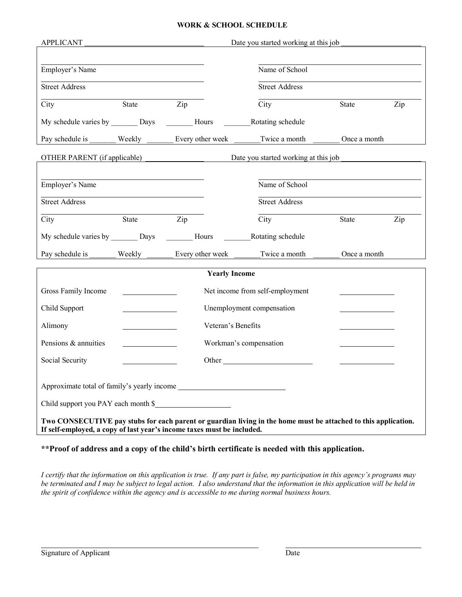## **WORK & SCHOOL SCHEDULE**

| <b>APPLICANT</b>                                          |                           |                                                                        | Date you started working at this job                                                                           |              |     |  |
|-----------------------------------------------------------|---------------------------|------------------------------------------------------------------------|----------------------------------------------------------------------------------------------------------------|--------------|-----|--|
| Employer's Name                                           |                           |                                                                        | Name of School                                                                                                 |              |     |  |
| <b>Street Address</b>                                     |                           |                                                                        | <b>Street Address</b>                                                                                          |              |     |  |
| City                                                      | State                     | Zip                                                                    | City                                                                                                           | State        | Zip |  |
| My schedule varies by __________ Days ____________ Hours  |                           |                                                                        | Rotating schedule                                                                                              |              |     |  |
| Pay schedule is Weekly Every other week                   |                           |                                                                        | Twice a month                                                                                                  | Once a month |     |  |
|                                                           |                           |                                                                        | Date you started working at this job                                                                           |              |     |  |
|                                                           |                           |                                                                        |                                                                                                                |              |     |  |
| Employer's Name                                           |                           |                                                                        | Name of School                                                                                                 |              |     |  |
| <b>Street Address</b>                                     |                           |                                                                        | <b>Street Address</b>                                                                                          |              |     |  |
| City                                                      | State                     | Zip                                                                    | City                                                                                                           | State        | Zip |  |
| My schedule varies by __________ Days _____________ Hours |                           |                                                                        | Rotating schedule                                                                                              |              |     |  |
| Pay schedule is                                           | Weekly                    | Every other week                                                       | Twice a month                                                                                                  | Once a month |     |  |
|                                                           |                           | <b>Yearly Income</b>                                                   |                                                                                                                |              |     |  |
| Gross Family Income<br>Net income from self-employment    |                           |                                                                        |                                                                                                                |              |     |  |
| Child Support                                             | Unemployment compensation |                                                                        |                                                                                                                |              |     |  |
| Alimony                                                   |                           |                                                                        |                                                                                                                |              |     |  |
| Pensions & annuities                                      |                           | Workman's compensation                                                 |                                                                                                                |              |     |  |
| Social Security                                           |                           | Other                                                                  |                                                                                                                |              |     |  |
|                                                           |                           |                                                                        |                                                                                                                |              |     |  |
| Approximate total of family's yearly income               |                           |                                                                        |                                                                                                                |              |     |  |
| Child support you PAY each month \$                       |                           |                                                                        |                                                                                                                |              |     |  |
|                                                           |                           | If self-employed, a copy of last year's income taxes must be included. | Two CONSECUTIVE pay stubs for each parent or guardian living in the home must be attached to this application. |              |     |  |

**\*\*Proof of address and a copy of the child's birth certificate is needed with this application.**

*I certify that the information on this application is true. If any part is false, my participation in this agency's programs may be terminated and I may be subject to legal action. I also understand that the information in this application will be held in the spirit of confidence within the agency and is accessible to me during normal business hours.*